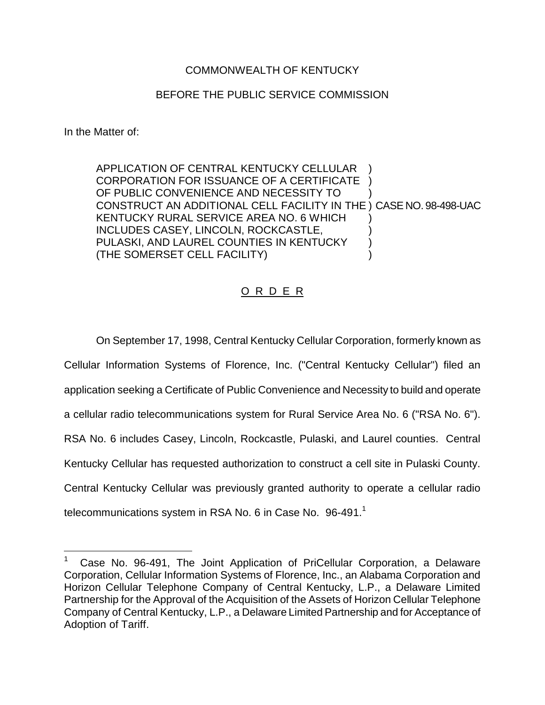## COMMONWEALTH OF KENTUCKY

## BEFORE THE PUBLIC SERVICE COMMISSION

In the Matter of:

APPLICATION OF CENTRAL KENTUCKY CELLULAR ) CORPORATION FOR ISSUANCE OF A CERTIFICATE ) OF PUBLIC CONVENIENCE AND NECESSITY TO ) CONSTRUCT AN ADDITIONAL CELL FACILITY IN THE ) CASE NO. 98-498-UAC KENTUCKY RURAL SERVICE AREA NO. 6 WHICH ) INCLUDES CASEY, LINCOLN, ROCKCASTLE, PULASKI, AND LAUREL COUNTIES IN KENTUCKY ) (THE SOMERSET CELL FACILITY) )

## O R D E R

On September 17, 1998, Central Kentucky Cellular Corporation, formerly known as Cellular Information Systems of Florence, Inc. ("Central Kentucky Cellular") filed an application seeking a Certificate of Public Convenience and Necessity to build and operate a cellular radio telecommunications system for Rural Service Area No. 6 ("RSA No. 6"). RSA No. 6 includes Casey, Lincoln, Rockcastle, Pulaski, and Laurel counties. Central Kentucky Cellular has requested authorization to construct a cell site in Pulaski County. Central Kentucky Cellular was previously granted authority to operate a cellular radio telecommunications system in RSA No. 6 in Case No.  $96-491$ .<sup>1</sup>

<sup>1</sup> Case No. 96-491, The Joint Application of PriCellular Corporation, a Delaware Corporation, Cellular Information Systems of Florence, Inc., an Alabama Corporation and Horizon Cellular Telephone Company of Central Kentucky, L.P., a Delaware Limited Partnership for the Approval of the Acquisition of the Assets of Horizon Cellular Telephone Company of Central Kentucky, L.P., a Delaware Limited Partnership and for Acceptance of Adoption of Tariff.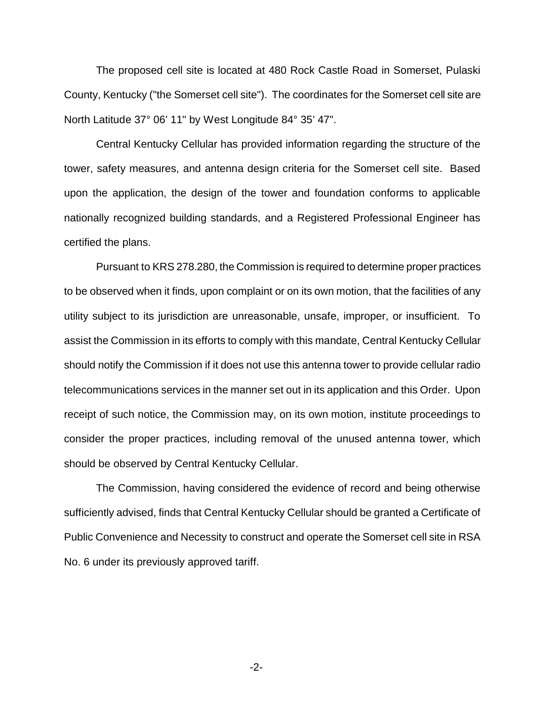The proposed cell site is located at 480 Rock Castle Road in Somerset, Pulaski County, Kentucky ("the Somerset cell site"). The coordinates for the Somerset cell site are North Latitude 37° 06' 11" by West Longitude 84° 35' 47".

Central Kentucky Cellular has provided information regarding the structure of the tower, safety measures, and antenna design criteria for the Somerset cell site. Based upon the application, the design of the tower and foundation conforms to applicable nationally recognized building standards, and a Registered Professional Engineer has certified the plans.

Pursuant to KRS 278.280, the Commission is required to determine proper practices to be observed when it finds, upon complaint or on its own motion, that the facilities of any utility subject to its jurisdiction are unreasonable, unsafe, improper, or insufficient. To assist the Commission in its efforts to comply with this mandate, Central Kentucky Cellular should notify the Commission if it does not use this antenna tower to provide cellular radio telecommunications services in the manner set out in its application and this Order. Upon receipt of such notice, the Commission may, on its own motion, institute proceedings to consider the proper practices, including removal of the unused antenna tower, which should be observed by Central Kentucky Cellular.

The Commission, having considered the evidence of record and being otherwise sufficiently advised, finds that Central Kentucky Cellular should be granted a Certificate of Public Convenience and Necessity to construct and operate the Somerset cell site in RSA No. 6 under its previously approved tariff.

-2-